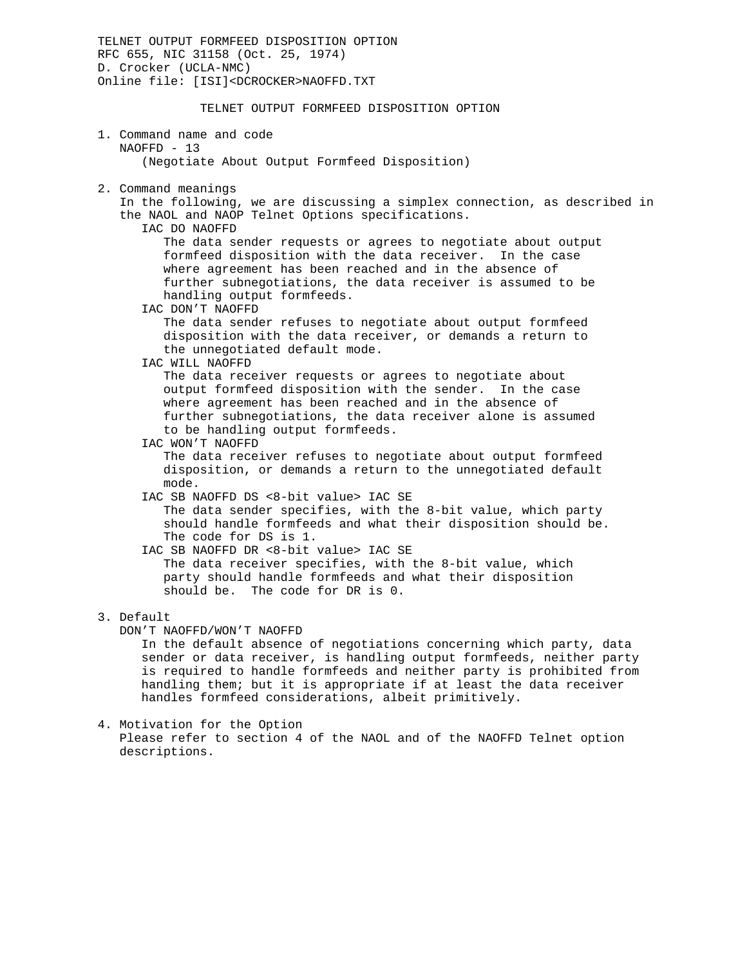TELNET OUTPUT FORMFEED DISPOSITION OPTION RFC 655, NIC 31158 (Oct. 25, 1974) D. Crocker (UCLA-NMC) Online file: [ISI]<DCROCKER>NAOFFD.TXT TELNET OUTPUT FORMFEED DISPOSITION OPTION 1. Command name and code NAOFFD - 13 (Negotiate About Output Formfeed Disposition) 2. Command meanings In the following, we are discussing a simplex connection, as described in the NAOL and NAOP Telnet Options specifications. IAC DO NAOFFD The data sender requests or agrees to negotiate about output formfeed disposition with the data receiver. In the case where agreement has been reached and in the absence of further subnegotiations, the data receiver is assumed to be handling output formfeeds. IAC DON'T NAOFFD The data sender refuses to negotiate about output formfeed disposition with the data receiver, or demands a return to the unnegotiated default mode. IAC WILL NAOFFD The data receiver requests or agrees to negotiate about output formfeed disposition with the sender. In the case where agreement has been reached and in the absence of further subnegotiations, the data receiver alone is assumed to be handling output formfeeds. IAC WON'T NAOFFD The data receiver refuses to negotiate about output formfeed disposition, or demands a return to the unnegotiated default mode. IAC SB NAOFFD DS <8-bit value> IAC SE The data sender specifies, with the 8-bit value, which party should handle formfeeds and what their disposition should be. The code for DS is 1. IAC SB NAOFFD DR <8-bit value> IAC SE The data receiver specifies, with the 8-bit value, which party should handle formfeeds and what their disposition should be. The code for DR is 0. 3. Default DON'T NAOFFD/WON'T NAOFFD In the default absence of negotiations concerning which party, data sender or data receiver, is handling output formfeeds, neither party is required to handle formfeeds and neither party is prohibited from handling them; but it is appropriate if at least the data receiver handles formfeed considerations, albeit primitively.

4. Motivation for the Option Please refer to section 4 of the NAOL and of the NAOFFD Telnet option descriptions.